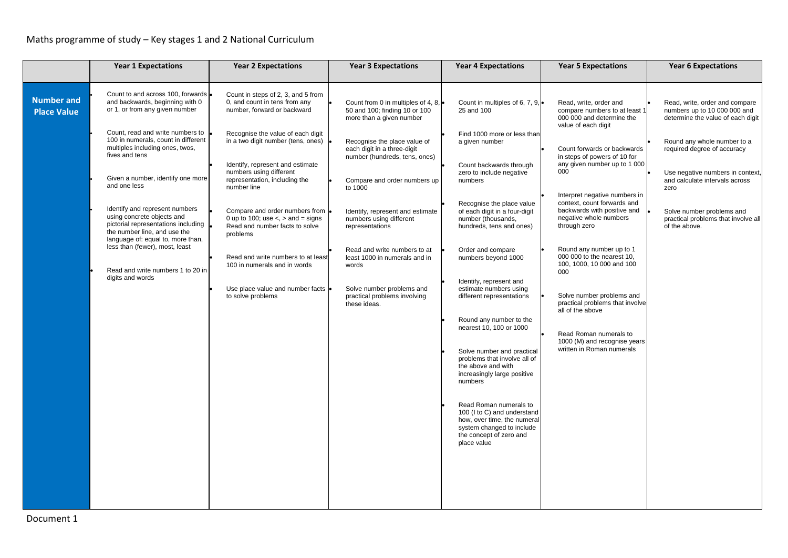|                                         | <b>Year 1 Expectations</b>                                                                                                                                               | <b>Year 2 Expectations</b>                                                                                                 | <b>Year 3 Expectations</b>                                                                                | <b>Year 4 Expectations</b>                                                                                                                                  | <b>Year 5 Expectations</b>                                                                                                            | <b>Year 6 Expectations</b>                                                                          |
|-----------------------------------------|--------------------------------------------------------------------------------------------------------------------------------------------------------------------------|----------------------------------------------------------------------------------------------------------------------------|-----------------------------------------------------------------------------------------------------------|-------------------------------------------------------------------------------------------------------------------------------------------------------------|---------------------------------------------------------------------------------------------------------------------------------------|-----------------------------------------------------------------------------------------------------|
| <b>Number and</b><br><b>Place Value</b> | Count to and across 100, forwards  <br>and backwards, beginning with 0<br>or 1, or from any given number                                                                 | Count in steps of 2, 3, and 5 from<br>0, and count in tens from any<br>number, forward or backward                         | Count from 0 in multiples of 4, 8, $\bullet$<br>50 and 100; finding 10 or 100<br>more than a given number | Count in multiples of 6, 7, 9, •<br>25 and 100                                                                                                              | Read, write, order and<br>compare numbers to at least 1<br>000 000 and determine the<br>value of each digit                           | Read, write, order and compare<br>numbers up to 10 000 000 and<br>determine the value of each digit |
|                                         | Count, read and write numbers to<br>100 in numerals, count in different<br>multiples including ones, twos,<br>fives and tens                                             | Recognise the value of each digit<br>in a two digit number (tens, ones)<br>Identify, represent and estimate                | Recognise the place value of<br>each digit in a three-digit<br>number (hundreds, tens, ones)              | Find 1000 more or less than<br>a given number<br>Count backwards through                                                                                    | Count forwards or backwards<br>in steps of powers of 10 for<br>any given number up to 1 000                                           | Round any whole number to a<br>required degree of accuracy                                          |
|                                         | Given a number, identify one more<br>and one less                                                                                                                        | numbers using different<br>representation, including the<br>number line                                                    | Compare and order numbers up<br>to 1000                                                                   | zero to include negative<br>numbers                                                                                                                         | 000                                                                                                                                   | Use negative numbers in context,<br>and calculate intervals across<br>zero                          |
|                                         | Identify and represent numbers<br>using concrete objects and<br>pictorial representations including<br>the number line, and use the<br>language of: equal to, more than, | Compare and order numbers from<br>0 up to 100; use $\lt$ , $>$ and $=$ signs<br>Read and number facts to solve<br>problems | Identify, represent and estimate<br>numbers using different<br>representations                            | Recognise the place value<br>of each digit in a four-digit<br>number (thousands,<br>hundreds, tens and ones)                                                | Interpret negative numbers in<br>context, count forwards and<br>backwards with positive and<br>negative whole numbers<br>through zero | Solve number problems and<br>practical problems that involve all<br>of the above.                   |
|                                         | less than (fewer), most, least<br>Read and write numbers 1 to 20 in<br>digits and words                                                                                  | Read and write numbers to at least<br>100 in numerals and in words                                                         | Read and write numbers to at<br>least 1000 in numerals and in<br>words                                    | Order and compare<br>numbers beyond 1000                                                                                                                    | Round any number up to 1<br>000 000 to the nearest 10,<br>100, 1000, 10 000 and 100<br>000                                            |                                                                                                     |
|                                         |                                                                                                                                                                          | Use place value and number facts<br>to solve problems                                                                      | Solve number problems and<br>practical problems involving<br>these ideas.                                 | Identify, represent and<br>estimate numbers using<br>different representations                                                                              | Solve number problems and<br>practical problems that involve<br>all of the above                                                      |                                                                                                     |
|                                         |                                                                                                                                                                          |                                                                                                                            |                                                                                                           | Round any number to the<br>nearest 10, 100 or 1000                                                                                                          | Read Roman numerals to<br>1000 (M) and recognise years                                                                                |                                                                                                     |
|                                         |                                                                                                                                                                          |                                                                                                                            |                                                                                                           | Solve number and practical<br>problems that involve all of<br>the above and with<br>increasingly large positive<br>numbers                                  | written in Roman numerals                                                                                                             |                                                                                                     |
|                                         |                                                                                                                                                                          |                                                                                                                            |                                                                                                           | Read Roman numerals to<br>100 (I to C) and understand<br>how, over time, the numeral<br>system changed to include<br>the concept of zero and<br>place value |                                                                                                                                       |                                                                                                     |
|                                         |                                                                                                                                                                          |                                                                                                                            |                                                                                                           |                                                                                                                                                             |                                                                                                                                       |                                                                                                     |
|                                         |                                                                                                                                                                          |                                                                                                                            |                                                                                                           |                                                                                                                                                             |                                                                                                                                       |                                                                                                     |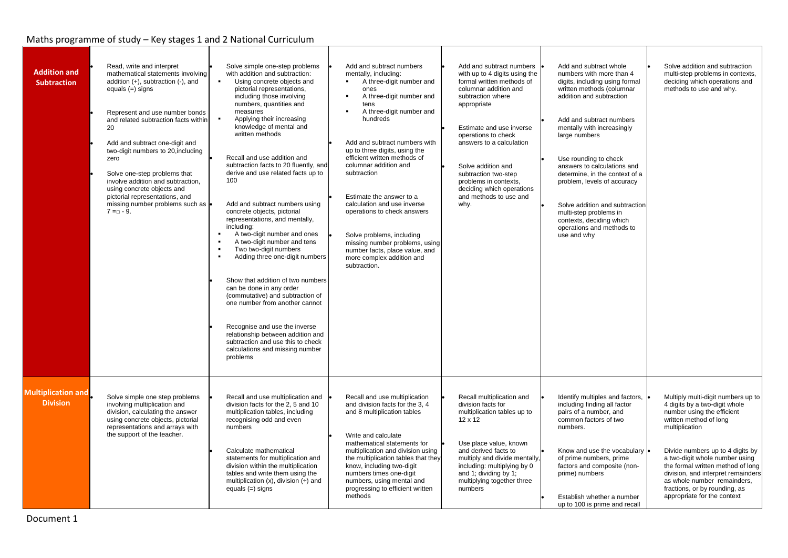| <b>Addition and</b><br><b>Subtraction</b>    | Read, write and interpret<br>mathematical statements involving<br>addition (+), subtraction (-), and<br>equals $(=)$ signs<br>Represent and use number bonds<br>and related subtraction facts within<br>20<br>Add and subtract one-digit and<br>two-digit numbers to 20, including<br>zero<br>Solve one-step problems that<br>involve addition and subtraction,<br>using concrete objects and<br>pictorial representations, and<br>missing number problems such as e<br>$7 = 9$ . | Solve simple one-step problems<br>with addition and subtraction:<br>Using concrete objects and<br>$\mathbf{r}_\mathrm{c}$<br>pictorial representations,<br>including those involving<br>numbers, quantities and<br>measures<br>Applying their increasing<br>knowledge of mental and<br>written methods<br>Recall and use addition and<br>subtraction facts to 20 fluently, and<br>derive and use related facts up to<br>100<br>Add and subtract numbers using<br>concrete objects, pictorial<br>representations, and mentally,<br>including:<br>A two-digit number and ones<br>A two-digit number and tens<br>$\blacksquare$<br>Two two-digit numbers<br>Adding three one-digit numbers<br>$\blacksquare$<br>Show that addition of two numbers<br>can be done in any order<br>(commutative) and subtraction of<br>one number from another cannot<br>Recognise and use the inverse<br>relationship between addition and<br>subtraction and use this to check<br>calculations and missing number<br>problems | Add and subtract numbers<br>mentally, including:<br>A three-digit number and<br>$\blacksquare$<br>ones<br>A three-digit number and<br>tens<br>A three-digit number and<br>hundreds<br>Add and subtract numbers with<br>up to three digits, using the<br>efficient written methods of<br>columnar addition and<br>subtraction<br>Estimate the answer to a<br>calculation and use inverse<br>operations to check answers<br>Solve problems, including<br>missing number problems, using<br>number facts, place value, and<br>more complex addition and<br>subtraction. | Add and subtract numbers<br>with up to 4 digits using the<br>formal written methods of<br>columnar addition and<br>subtraction where<br>appropriate<br>Estimate and use inverse<br>operations to check<br>answers to a calculation<br>Solve addition and<br>subtraction two-step<br>problems in contexts,<br>deciding which operations<br>and methods to use and<br>why. | Add and subtract whole<br>numbers with more than 4<br>digits, including using formal<br>written methods (columnar<br>addition and subtraction<br>Add and subtract numbers<br>mentally with increasingly<br>large numbers<br>Use rounding to check<br>answers to calculations and<br>determine, in the context of a<br>problem, levels of accuracy<br>Solve addition and subtraction<br>multi-step problems in<br>contexts, deciding which<br>operations and methods to<br>use and why | Solve addition and subtraction<br>multi-step problems in contexts,<br>deciding which operations and<br>methods to use and why.                                                                                                                                                                                                                                                                |
|----------------------------------------------|-----------------------------------------------------------------------------------------------------------------------------------------------------------------------------------------------------------------------------------------------------------------------------------------------------------------------------------------------------------------------------------------------------------------------------------------------------------------------------------|------------------------------------------------------------------------------------------------------------------------------------------------------------------------------------------------------------------------------------------------------------------------------------------------------------------------------------------------------------------------------------------------------------------------------------------------------------------------------------------------------------------------------------------------------------------------------------------------------------------------------------------------------------------------------------------------------------------------------------------------------------------------------------------------------------------------------------------------------------------------------------------------------------------------------------------------------------------------------------------------------------|----------------------------------------------------------------------------------------------------------------------------------------------------------------------------------------------------------------------------------------------------------------------------------------------------------------------------------------------------------------------------------------------------------------------------------------------------------------------------------------------------------------------------------------------------------------------|--------------------------------------------------------------------------------------------------------------------------------------------------------------------------------------------------------------------------------------------------------------------------------------------------------------------------------------------------------------------------|---------------------------------------------------------------------------------------------------------------------------------------------------------------------------------------------------------------------------------------------------------------------------------------------------------------------------------------------------------------------------------------------------------------------------------------------------------------------------------------|-----------------------------------------------------------------------------------------------------------------------------------------------------------------------------------------------------------------------------------------------------------------------------------------------------------------------------------------------------------------------------------------------|
| <b>Multiplication and</b><br><b>Division</b> | Solve simple one step problems<br>involving multiplication and<br>division, calculating the answer<br>using concrete objects, pictorial<br>representations and arrays with<br>the support of the teacher.                                                                                                                                                                                                                                                                         | Recall and use multiplication and<br>division facts for the 2, 5 and 10<br>multiplication tables, including<br>recognising odd and even<br>numbers<br>Calculate mathematical<br>statements for multiplication and<br>division within the multiplication<br>tables and write them using the<br>multiplication $(x)$ , division $(\div)$ and<br>equals $(=)$ signs                                                                                                                                                                                                                                                                                                                                                                                                                                                                                                                                                                                                                                           | Recall and use multiplication<br>and division facts for the 3, 4<br>and 8 multiplication tables<br>Write and calculate<br>mathematical statements for<br>multiplication and division using<br>the multiplication tables that they<br>know, including two-digit<br>numbers times one-digit<br>numbers, using mental and<br>progressing to efficient written<br>methods                                                                                                                                                                                                | Recall multiplication and<br>division facts for<br>multiplication tables up to<br>12 x 12<br>Use place value, known<br>and derived facts to<br>multiply and divide mentally,<br>including: multiplying by 0<br>and 1; dividing by 1;<br>multiplying together three<br>numbers                                                                                            | Identify multiples and factors,<br>including finding all factor<br>pairs of a number, and<br>common factors of two<br>numbers.<br>Know and use the vocabulary<br>of prime numbers, prime<br>factors and composite (non-<br>prime) numbers<br>Establish whether a number<br>up to 100 is prime and recall                                                                                                                                                                              | Multiply multi-digit numbers up to<br>4 digits by a two-digit whole<br>number using the efficient<br>written method of long<br>multiplication<br>Divide numbers up to 4 digits by<br>a two-digit whole number using<br>the formal written method of long<br>division, and interpret remainders<br>as whole number remainders,<br>fractions, or by rounding, as<br>appropriate for the context |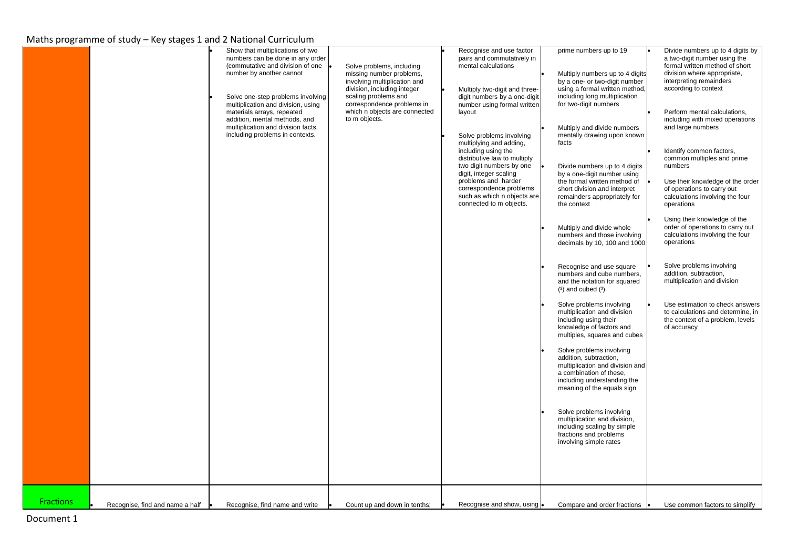|                  | Show that multiplications of two<br>numbers can be done in any order<br>(commutative and division of one<br>number by another cannot<br>Solve one-step problems involving<br>multiplication and division, using<br>materials arrays, repeated<br>addition, mental methods, and<br>multiplication and division facts,<br>including problems in contexts. | Solve problems, including<br>missing number problems,<br>involving multiplication and<br>division, including integer<br>scaling problems and<br>correspondence problems in<br>which n objects are connected<br>to m objects. | Recognise and use factor<br>pairs and commutatively in<br>mental calculations<br>Multiply two-digit and three-<br>digit numbers by a one-digit<br>number using formal written<br>layout<br>Solve problems involving<br>multiplying and adding,<br>including using the<br>distributive law to multiply<br>two digit numbers by one<br>digit, integer scaling<br>problems and harder<br>correspondence problems<br>such as which n objects are<br>connected to m objects. | prime numbers up to 19<br>Multiply numbers up to 4 digits<br>by a one- or two-digit number<br>using a formal written method,<br>including long multiplication<br>for two-digit numbers<br>Multiply and divide numbers<br>mentally drawing upon known<br>facts<br>Divide numbers up to 4 digits<br>by a one-digit number using<br>the formal written method of<br>short division and interpret<br>remainders appropriately for<br>the context<br>Multiply and divide whole<br>numbers and those involving<br>decimals by 10, 100 and 1000<br>Recognise and use square<br>numbers and cube numbers,<br>and the notation for squared<br>$(2)$ and cubed $(3)$<br>Solve problems involving<br>multiplication and division<br>including using their<br>knowledge of factors and<br>multiples, squares and cubes<br>Solve problems involving<br>addition, subtraction,<br>multiplication and division and<br>a combination of these,<br>including understanding the<br>meaning of the equals sign<br>Solve problems involving<br>multiplication and division,<br>including scaling by simple<br>fractions and problems<br>involving simple rates | Divide numbers up to 4 digits by<br>a two-digit number using the<br>formal written method of short<br>division where appropriate,<br>interpreting remainders<br>according to context<br>Perform mental calculations,<br>including with mixed operations<br>and large numbers<br>Identify common factors,<br>common multiples and prime<br>numbers<br>Use their knowledge of the order<br>of operations to carry out<br>calculations involving the four<br>operations<br>Using their knowledge of the<br>order of operations to carry out<br>calculations involving the four<br>operations<br>Solve problems involving<br>addition, subtraction,<br>multiplication and division<br>Use estimation to check answers<br>to calculations and determine, in<br>the context of a problem, levels<br>of accuracy |
|------------------|---------------------------------------------------------------------------------------------------------------------------------------------------------------------------------------------------------------------------------------------------------------------------------------------------------------------------------------------------------|------------------------------------------------------------------------------------------------------------------------------------------------------------------------------------------------------------------------------|-------------------------------------------------------------------------------------------------------------------------------------------------------------------------------------------------------------------------------------------------------------------------------------------------------------------------------------------------------------------------------------------------------------------------------------------------------------------------|--------------------------------------------------------------------------------------------------------------------------------------------------------------------------------------------------------------------------------------------------------------------------------------------------------------------------------------------------------------------------------------------------------------------------------------------------------------------------------------------------------------------------------------------------------------------------------------------------------------------------------------------------------------------------------------------------------------------------------------------------------------------------------------------------------------------------------------------------------------------------------------------------------------------------------------------------------------------------------------------------------------------------------------------------------------------------------------------------------------------------------------------|-----------------------------------------------------------------------------------------------------------------------------------------------------------------------------------------------------------------------------------------------------------------------------------------------------------------------------------------------------------------------------------------------------------------------------------------------------------------------------------------------------------------------------------------------------------------------------------------------------------------------------------------------------------------------------------------------------------------------------------------------------------------------------------------------------------|
| <b>Fractions</b> |                                                                                                                                                                                                                                                                                                                                                         |                                                                                                                                                                                                                              |                                                                                                                                                                                                                                                                                                                                                                                                                                                                         |                                                                                                                                                                                                                                                                                                                                                                                                                                                                                                                                                                                                                                                                                                                                                                                                                                                                                                                                                                                                                                                                                                                                            |                                                                                                                                                                                                                                                                                                                                                                                                                                                                                                                                                                                                                                                                                                                                                                                                           |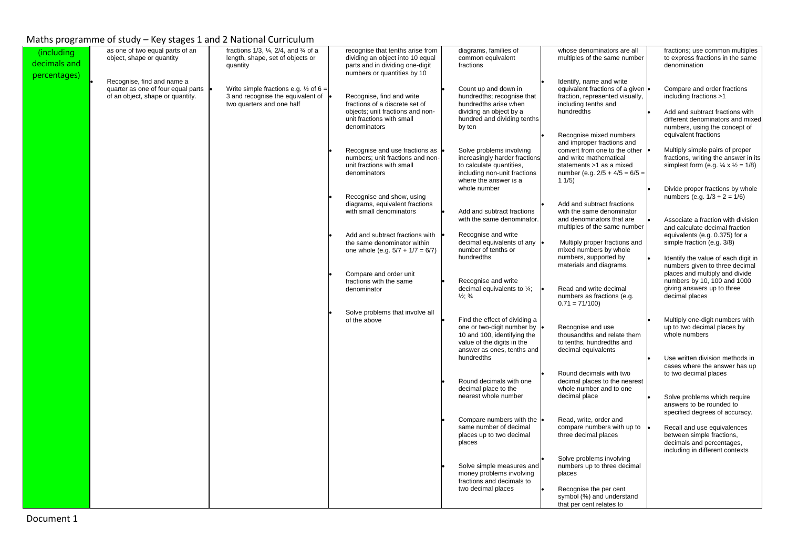| (including<br>decimals and | as one of two equal parts of an<br>object, shape or quantity                                         | fractions $1/3$ , $\frac{1}{4}$ , $2/4$ , and $\frac{3}{4}$ of a<br>length, shape, set of objects or<br>quantity   | recognise that tenths arise from<br>dividing an object into 10 equal<br>parts and in dividing one-digit                                                                                                                                                                                        | diagrams, families of<br>common equivalent<br>fractions                                                                                                                                                                                                                  | whose denominators are all<br>multiples of the same number                                                                                                                                                                                                                                                               | fractions; use common multiples<br>to express fractions in the same<br>denomination                                                                                                                                                                                                                                              |
|----------------------------|------------------------------------------------------------------------------------------------------|--------------------------------------------------------------------------------------------------------------------|------------------------------------------------------------------------------------------------------------------------------------------------------------------------------------------------------------------------------------------------------------------------------------------------|--------------------------------------------------------------------------------------------------------------------------------------------------------------------------------------------------------------------------------------------------------------------------|--------------------------------------------------------------------------------------------------------------------------------------------------------------------------------------------------------------------------------------------------------------------------------------------------------------------------|----------------------------------------------------------------------------------------------------------------------------------------------------------------------------------------------------------------------------------------------------------------------------------------------------------------------------------|
| percentages)               | Recognise, find and name a<br>quarter as one of four equal parts<br>of an object, shape or quantity. | Write simple fractions e.g. $\frac{1}{2}$ of 6 =<br>3 and recognise the equivalent of<br>two quarters and one half | numbers or quantities by 10<br>Recognise, find and write<br>fractions of a discrete set of<br>objects; unit fractions and non-<br>unit fractions with small<br>denominators<br>Recognise and use fractions as<br>numbers; unit fractions and non-<br>unit fractions with small<br>denominators | Count up and down in<br>hundredths; recognise that<br>hundredths arise when<br>dividing an object by a<br>hundred and dividing tenths<br>by ten<br>Solve problems involving<br>increasingly harder fractions<br>to calculate quantities,<br>including non-unit fractions | Identify, name and write<br>equivalent fractions of a given<br>fraction, represented visually,<br>including tenths and<br>hundredths<br>Recognise mixed numbers<br>and improper fractions and<br>convert from one to the other<br>and write mathematical<br>statements >1 as a mixed<br>number (e.g. $2/5 + 4/5 = 6/5 =$ | Compare and order fractions<br>including fractions >1<br>Add and subtract fractions with<br>different denominators and mixed<br>numbers, using the concept of<br>equivalent fractions<br>Multiply simple pairs of proper<br>fractions, writing the answer in its<br>simplest form (e.g. $\frac{1}{4} \times \frac{1}{2} = 1/8$ ) |
|                            |                                                                                                      |                                                                                                                    | Recognise and show, using<br>diagrams, equivalent fractions<br>with small denominators                                                                                                                                                                                                         | where the answer is a<br>whole number<br>Add and subtract fractions<br>with the same denominator.                                                                                                                                                                        | 11/5)<br>Add and subtract fractions<br>with the same denominator<br>and denominators that are                                                                                                                                                                                                                            | Divide proper fractions by whole<br>numbers (e.g. $1/3 \div 2 = 1/6$ )<br>Associate a fraction with division                                                                                                                                                                                                                     |
|                            |                                                                                                      |                                                                                                                    | Add and subtract fractions with<br>the same denominator within<br>one whole (e.g. $5/7 + 1/7 = 6/7$ )                                                                                                                                                                                          | Recognise and write<br>decimal equivalents of any<br>number of tenths or<br>hundredths                                                                                                                                                                                   | multiples of the same number<br>Multiply proper fractions and<br>mixed numbers by whole<br>numbers, supported by<br>materials and diagrams.                                                                                                                                                                              | and calculate decimal fraction<br>equivalents (e.g. 0.375) for a<br>simple fraction (e.g. 3/8)<br>Identify the value of each digit in<br>numbers given to three decimal                                                                                                                                                          |
|                            |                                                                                                      |                                                                                                                    | Compare and order unit<br>fractions with the same<br>denominator<br>Solve problems that involve all                                                                                                                                                                                            | Recognise and write<br>decimal equivalents to $\frac{1}{4}$ ;<br>$\frac{1}{2}$ ; $\frac{3}{4}$                                                                                                                                                                           | Read and write decimal<br>numbers as fractions (e.g.<br>$0.71 = 71/100$                                                                                                                                                                                                                                                  | places and multiply and divide<br>numbers by 10, 100 and 1000<br>giving answers up to three<br>decimal places                                                                                                                                                                                                                    |
|                            |                                                                                                      |                                                                                                                    | of the above                                                                                                                                                                                                                                                                                   | Find the effect of dividing a<br>one or two-digit number by<br>10 and 100, identifying the<br>value of the digits in the<br>answer as ones, tenths and<br>hundredths                                                                                                     | Recognise and use<br>thousandths and relate them<br>to tenths, hundredths and<br>decimal equivalents                                                                                                                                                                                                                     | Multiply one-digit numbers with<br>up to two decimal places by<br>whole numbers<br>Use written division methods in<br>cases where the answer has up                                                                                                                                                                              |
|                            |                                                                                                      |                                                                                                                    |                                                                                                                                                                                                                                                                                                | Round decimals with one<br>decimal place to the<br>nearest whole number                                                                                                                                                                                                  | Round decimals with two<br>decimal places to the nearest<br>whole number and to one<br>decimal place                                                                                                                                                                                                                     | to two decimal places<br>Solve problems which require<br>answers to be rounded to<br>specified degrees of accuracy.                                                                                                                                                                                                              |
|                            |                                                                                                      |                                                                                                                    |                                                                                                                                                                                                                                                                                                | Compare numbers with the<br>same number of decimal<br>places up to two decimal<br>places                                                                                                                                                                                 | Read, write, order and<br>compare numbers with up to<br>three decimal places<br>Solve problems involving                                                                                                                                                                                                                 | Recall and use equivalences<br>between simple fractions,<br>decimals and percentages,<br>including in different contexts                                                                                                                                                                                                         |
|                            |                                                                                                      |                                                                                                                    |                                                                                                                                                                                                                                                                                                | Solve simple measures and<br>money problems involving<br>fractions and decimals to<br>two decimal places                                                                                                                                                                 | numbers up to three decimal<br>places<br>Recognise the per cent<br>symbol (%) and understand<br>that per cent relates to                                                                                                                                                                                                 |                                                                                                                                                                                                                                                                                                                                  |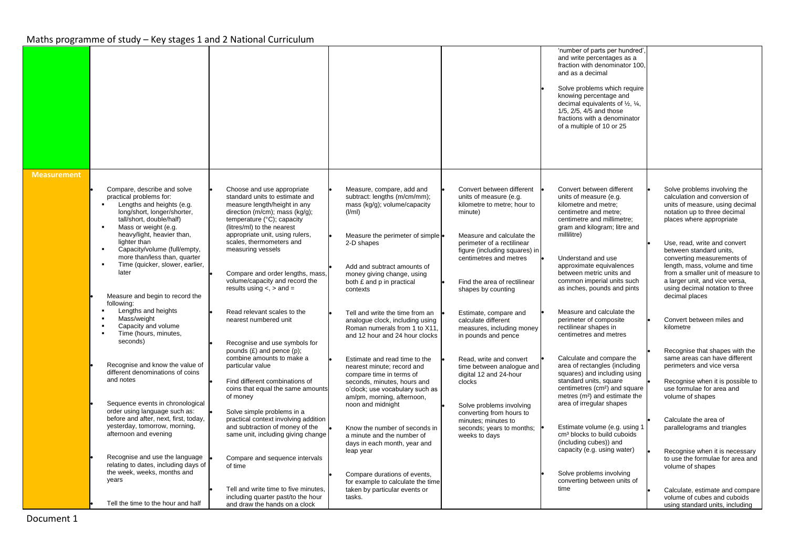|                    |                                                                                                                                                                                                                         |                                                                                                                                                                                            |                                                                                                                                       |                                                                                                                    | 'number of parts per hundred'.<br>and write percentages as a<br>fraction with denominator 100,<br>and as a decimal<br>Solve problems which require<br>knowing percentage and<br>decimal equivalents of $\frac{1}{2}$ , $\frac{1}{4}$ ,<br>1/5, 2/5, 4/5 and those<br>fractions with a denominator<br>of a multiple of 10 or 25 |                                                                                                                                                              |
|--------------------|-------------------------------------------------------------------------------------------------------------------------------------------------------------------------------------------------------------------------|--------------------------------------------------------------------------------------------------------------------------------------------------------------------------------------------|---------------------------------------------------------------------------------------------------------------------------------------|--------------------------------------------------------------------------------------------------------------------|--------------------------------------------------------------------------------------------------------------------------------------------------------------------------------------------------------------------------------------------------------------------------------------------------------------------------------|--------------------------------------------------------------------------------------------------------------------------------------------------------------|
| <b>Measurement</b> |                                                                                                                                                                                                                         |                                                                                                                                                                                            |                                                                                                                                       |                                                                                                                    |                                                                                                                                                                                                                                                                                                                                |                                                                                                                                                              |
|                    | Compare, describe and solve<br>practical problems for:<br>Lengths and heights (e.g.<br>$\mathbf{R}^{\mathrm{max}}$<br>long/short, longer/shorter,<br>tall/short, double/half)<br>$\blacksquare$<br>Mass or weight (e.g. | Choose and use appropriate<br>standard units to estimate and<br>measure length/height in any<br>direction (m/cm); mass (kg/g);<br>temperature (°C); capacity<br>(litres/ml) to the nearest | Measure, compare, add and<br>subtract: lengths (m/cm/mm);<br>mass (kg/g); volume/capacity<br>(I/ml)                                   | Convert between different<br>units of measure (e.g.<br>kilometre to metre; hour to<br>minute)                      | Convert between different<br>units of measure (e.g.<br>kilometre and metre:<br>centimetre and metre:<br>centimetre and millimetre;<br>gram and kilogram; litre and                                                                                                                                                             | Solve problems involving the<br>calculation and conversion of<br>units of measure, using decimal<br>notation up to three decimal<br>places where appropriate |
|                    | heavy/light, heavier than,<br>lighter than<br>Capacity/volume (full/empty,<br>$\blacksquare$<br>more than/less than, quarter<br>Time (quicker, slower, earlier,                                                         | appropriate unit, using rulers,<br>scales, thermometers and<br>measuring vessels                                                                                                           | Measure the perimeter of simple .<br>2-D shapes<br>Add and subtract amounts of                                                        | Measure and calculate the<br>perimeter of a rectilinear<br>figure (including squares) in<br>centimetres and metres | millilitre)<br>Understand and use<br>approximate equivalences                                                                                                                                                                                                                                                                  | Use, read, write and convert<br>between standard units,<br>converting measurements of<br>length, mass, volume and time                                       |
|                    | later<br>Measure and begin to record the                                                                                                                                                                                | Compare and order lengths, mass,<br>volume/capacity and record the<br>results using $\lt$ , $>$ and $=$                                                                                    | money giving change, using<br>both £ and p in practical<br>contexts                                                                   | Find the area of rectilinear<br>shapes by counting                                                                 | between metric units and<br>common imperial units such<br>as inches, pounds and pints                                                                                                                                                                                                                                          | from a smaller unit of measure to<br>a larger unit, and vice versa,<br>using decimal notation to three<br>decimal places                                     |
|                    | following:<br>Lengths and heights<br>$\blacksquare$<br>Mass/weight<br>$\blacksquare$<br>Capacity and volume<br>$\blacksquare$<br>Time (hours, minutes,<br>$\blacksquare$<br>seconds)                                    | Read relevant scales to the<br>nearest numbered unit<br>Recognise and use symbols for                                                                                                      | Tell and write the time from an<br>analogue clock, including using<br>Roman numerals from 1 to X11,<br>and 12 hour and 24 hour clocks | Estimate, compare and<br>calculate different<br>measures, including money<br>in pounds and pence                   | Measure and calculate the<br>perimeter of composite<br>rectilinear shapes in<br>centimetres and metres                                                                                                                                                                                                                         | Convert between miles and<br>kilometre                                                                                                                       |
|                    | Recognise and know the value of<br>different denominations of coins                                                                                                                                                     | pounds $(E)$ and pence $(p)$ ;<br>combine amounts to make a<br>particular value                                                                                                            | Estimate and read time to the<br>nearest minute; record and                                                                           | Read, write and convert<br>time between analogue and                                                               | Calculate and compare the<br>area of rectangles (including                                                                                                                                                                                                                                                                     | Recognise that shapes with the<br>same areas can have different<br>perimeters and vice versa                                                                 |
|                    | and notes                                                                                                                                                                                                               | Find different combinations of<br>coins that equal the same amounts<br>of money                                                                                                            | compare time in terms of<br>seconds, minutes, hours and<br>o'clock; use vocabulary such as<br>am/pm, morning, afternoon,              | digital 12 and 24-hour<br>clocks                                                                                   | squares) and including using<br>standard units, square<br>centimetres (cm <sup>2</sup> ) and square<br>metres (m <sup>2</sup> ) and estimate the                                                                                                                                                                               | Recognise when it is possible to<br>use formulae for area and<br>volume of shapes                                                                            |
|                    | Sequence events in chronological<br>order using language such as:<br>before and after, next, first, today,                                                                                                              | Solve simple problems in a<br>practical context involving addition                                                                                                                         | noon and midnight                                                                                                                     | Solve problems involving<br>converting from hours to<br>minutes; minutes to                                        | area of irregular shapes                                                                                                                                                                                                                                                                                                       | Calculate the area of                                                                                                                                        |
|                    | yesterday, tomorrow, morning,<br>afternoon and evening                                                                                                                                                                  | and subtraction of money of the<br>same unit, including giving change                                                                                                                      | Know the number of seconds in<br>a minute and the number of<br>days in each month, year and                                           | seconds; years to months;<br>weeks to days                                                                         | Estimate volume (e.g. using 1<br>cm <sup>3</sup> blocks to build cuboids<br>(including cubes)) and<br>capacity (e.g. using water)                                                                                                                                                                                              | parallelograms and triangles                                                                                                                                 |
|                    | Recognise and use the language<br>relating to dates, including days of<br>the week, weeks, months and                                                                                                                   | Compare and sequence intervals<br>of time                                                                                                                                                  | leap year<br>Compare durations of events,                                                                                             |                                                                                                                    | Solve problems involving                                                                                                                                                                                                                                                                                                       | Recognise when it is necessary<br>to use the formulae for area and<br>volume of shapes                                                                       |
|                    | years                                                                                                                                                                                                                   | Tell and write time to five minutes,                                                                                                                                                       | for example to calculate the time<br>taken by particular events or                                                                    |                                                                                                                    | converting between units of<br>time                                                                                                                                                                                                                                                                                            | Calculate, estimate and compare                                                                                                                              |
|                    | Tell the time to the hour and half                                                                                                                                                                                      | including quarter past/to the hour<br>and draw the hands on a clock                                                                                                                        | tasks.                                                                                                                                |                                                                                                                    |                                                                                                                                                                                                                                                                                                                                | volume of cubes and cuboids<br>using standard units, including                                                                                               |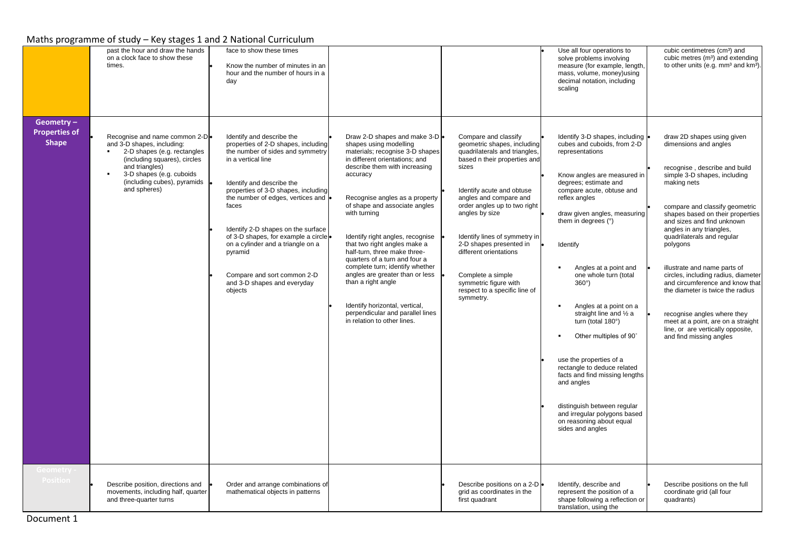|                                                   | past the hour and draw the hands<br>on a clock face to show these<br>times.                                                                                                                                              | face to show these times<br>Know the number of minutes in an<br>hour and the number of hours in a<br>day                                                                                                                                                                                                                                                                                                                                           |                                                                                                                                                                                                                                                                                                                                                                                                                                                                                                                                                                                                     |                                                                                                                                                                                                                                                                                                                                                                                                                          | Use all four operations to<br>solve problems involving<br>measure (for example, length,<br>mass, volume, money) using<br>decimal notation, including<br>scaling                                                                                                                                                                                                                                                                                                                                                                                                                                                                                           | cubic centimetres (cm <sup>3</sup> ) and<br>cubic metres (m <sup>3</sup> ) and extending<br>to other units (e.g. mm <sup>3</sup> and km <sup>3</sup> )                                                                                                                                                                                                                                                                                                                                                                                                                                           |
|---------------------------------------------------|--------------------------------------------------------------------------------------------------------------------------------------------------------------------------------------------------------------------------|----------------------------------------------------------------------------------------------------------------------------------------------------------------------------------------------------------------------------------------------------------------------------------------------------------------------------------------------------------------------------------------------------------------------------------------------------|-----------------------------------------------------------------------------------------------------------------------------------------------------------------------------------------------------------------------------------------------------------------------------------------------------------------------------------------------------------------------------------------------------------------------------------------------------------------------------------------------------------------------------------------------------------------------------------------------------|--------------------------------------------------------------------------------------------------------------------------------------------------------------------------------------------------------------------------------------------------------------------------------------------------------------------------------------------------------------------------------------------------------------------------|-----------------------------------------------------------------------------------------------------------------------------------------------------------------------------------------------------------------------------------------------------------------------------------------------------------------------------------------------------------------------------------------------------------------------------------------------------------------------------------------------------------------------------------------------------------------------------------------------------------------------------------------------------------|--------------------------------------------------------------------------------------------------------------------------------------------------------------------------------------------------------------------------------------------------------------------------------------------------------------------------------------------------------------------------------------------------------------------------------------------------------------------------------------------------------------------------------------------------------------------------------------------------|
| Geometry-<br><b>Properties of</b><br><b>Shape</b> | Recognise and name common 2-De<br>and 3-D shapes, including:<br>2-D shapes (e.g. rectangles<br>(including squares), circles<br>and triangles)<br>3-D shapes (e.g. cuboids<br>(including cubes), pyramids<br>and spheres) | Identify and describe the<br>properties of 2-D shapes, including<br>the number of sides and symmetry<br>in a vertical line<br>Identify and describe the<br>properties of 3-D shapes, including<br>the number of edges, vertices and<br>faces<br>Identify 2-D shapes on the surface<br>of 3-D shapes, for example a circle<br>on a cylinder and a triangle on a<br>pyramid<br>Compare and sort common 2-D<br>and 3-D shapes and everyday<br>objects | Draw 2-D shapes and make 3-D .<br>shapes using modelling<br>materials; recognise 3-D shapes<br>in different orientations; and<br>describe them with increasing<br>accuracy<br>Recognise angles as a property<br>of shape and associate angles<br>with turning<br>Identify right angles, recognise<br>that two right angles make a<br>half-turn, three make three-<br>quarters of a turn and four a<br>complete turn; identify whether<br>angles are greater than or less<br>than a right angle<br>Identify horizontal, vertical,<br>perpendicular and parallel lines<br>in relation to other lines. | Compare and classify<br>geometric shapes, including<br>quadrilaterals and triangles,<br>based n their properties and<br>sizes<br>Identify acute and obtuse<br>angles and compare and<br>order angles up to two right<br>angles by size<br>Identify lines of symmetry in<br>2-D shapes presented in<br>different orientations<br>Complete a simple<br>symmetric figure with<br>respect to a specific line of<br>symmetry. | Identify 3-D shapes, including<br>cubes and cuboids, from 2-D<br>representations<br>Know angles are measured in<br>degrees; estimate and<br>compare acute, obtuse and<br>reflex angles<br>draw given angles, measuring<br>them in degrees (°)<br>Identify<br>Angles at a point and<br>one whole turn (total<br>$360^\circ$ )<br>Angles at a point on a<br>straight line and 1/2 a<br>turn (total 180°)<br>Other multiples of 90°<br>use the properties of a<br>rectangle to deduce related<br>facts and find missing lengths<br>and angles<br>distinguish between regular<br>and irregular polygons based<br>on reasoning about equal<br>sides and angles | draw 2D shapes using given<br>dimensions and angles<br>recognise, describe and build<br>simple 3-D shapes, including<br>making nets<br>compare and classify geometric<br>shapes based on their properties<br>and sizes and find unknown<br>angles in any triangles,<br>quadrilaterals and regular<br>polygons<br>illustrate and name parts of<br>circles, including radius, diameter<br>and circumference and know that<br>the diameter is twice the radius<br>recognise angles where they<br>meet at a point, are on a straight<br>line, or are vertically opposite,<br>and find missing angles |
| Geometry<br>Position                              | Describe position, directions and<br>movements, including half, quarter<br>and three-quarter turns                                                                                                                       | Order and arrange combinations of<br>mathematical objects in patterns                                                                                                                                                                                                                                                                                                                                                                              |                                                                                                                                                                                                                                                                                                                                                                                                                                                                                                                                                                                                     | Describe positions on a 2-D .<br>grid as coordinates in the<br>first quadrant                                                                                                                                                                                                                                                                                                                                            | Identify, describe and<br>represent the position of a<br>shape following a reflection or<br>translation, using the                                                                                                                                                                                                                                                                                                                                                                                                                                                                                                                                        | Describe positions on the full<br>coordinate grid (all four<br>quadrants)                                                                                                                                                                                                                                                                                                                                                                                                                                                                                                                        |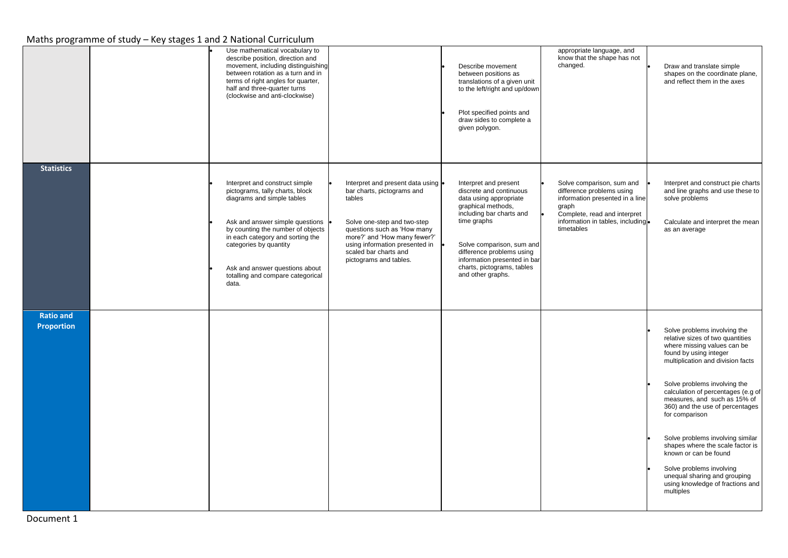|                                | Use mathematical vocabulary to<br>describe position, direction and<br>movement, including distinguishing<br>between rotation as a turn and in<br>terms of right angles for quarter,<br>half and three-quarter turns<br>(clockwise and anti-clockwise)                                                                 |                                                                                                                                                                                                                                                               | Describe movement<br>between positions as<br>translations of a given unit<br>to the left/right and up/down<br>Plot specified points and<br>draw sides to complete a<br>given polygon.                                                                                                    | appropriate language, and<br>know that the shape has not<br>changed.                                                                                                                  | Draw and translate simple<br>shapes on the coordinate plane,<br>and reflect them in the axes                                                                                                                                                                                                                                                                                                                                                                                                                                            |
|--------------------------------|-----------------------------------------------------------------------------------------------------------------------------------------------------------------------------------------------------------------------------------------------------------------------------------------------------------------------|---------------------------------------------------------------------------------------------------------------------------------------------------------------------------------------------------------------------------------------------------------------|------------------------------------------------------------------------------------------------------------------------------------------------------------------------------------------------------------------------------------------------------------------------------------------|---------------------------------------------------------------------------------------------------------------------------------------------------------------------------------------|-----------------------------------------------------------------------------------------------------------------------------------------------------------------------------------------------------------------------------------------------------------------------------------------------------------------------------------------------------------------------------------------------------------------------------------------------------------------------------------------------------------------------------------------|
| <b>Statistics</b>              | Interpret and construct simple<br>pictograms, tally charts, block<br>diagrams and simple tables<br>Ask and answer simple questions<br>by counting the number of objects<br>in each category and sorting the<br>categories by quantity<br>Ask and answer questions about<br>totalling and compare categorical<br>data. | Interpret and present data using .<br>bar charts, pictograms and<br>tables<br>Solve one-step and two-step<br>questions such as 'How many<br>more?' and 'How many fewer?'<br>using information presented in<br>scaled bar charts and<br>pictograms and tables. | Interpret and present<br>discrete and continuous<br>data using appropriate<br>graphical methods,<br>including bar charts and<br>time graphs<br>Solve comparison, sum and<br>difference problems using<br>information presented in bar<br>charts, pictograms, tables<br>and other graphs. | Solve comparison, sum and<br>difference problems using<br>information presented in a line<br>graph<br>Complete, read and interpret<br>information in tables, including.<br>timetables | Interpret and construct pie charts<br>and line graphs and use these to<br>solve problems<br>Calculate and interpret the mean<br>as an average                                                                                                                                                                                                                                                                                                                                                                                           |
| <b>Ratio and</b><br>Proportion |                                                                                                                                                                                                                                                                                                                       |                                                                                                                                                                                                                                                               |                                                                                                                                                                                                                                                                                          |                                                                                                                                                                                       | Solve problems involving the<br>relative sizes of two quantities<br>where missing values can be<br>found by using integer<br>multiplication and division facts<br>Solve problems involving the<br>calculation of percentages (e.g of<br>measures, and such as 15% of<br>360) and the use of percentages<br>for comparison<br>Solve problems involving similar<br>shapes where the scale factor is<br>known or can be found<br>Solve problems involving<br>unequal sharing and grouping<br>using knowledge of fractions and<br>multiples |